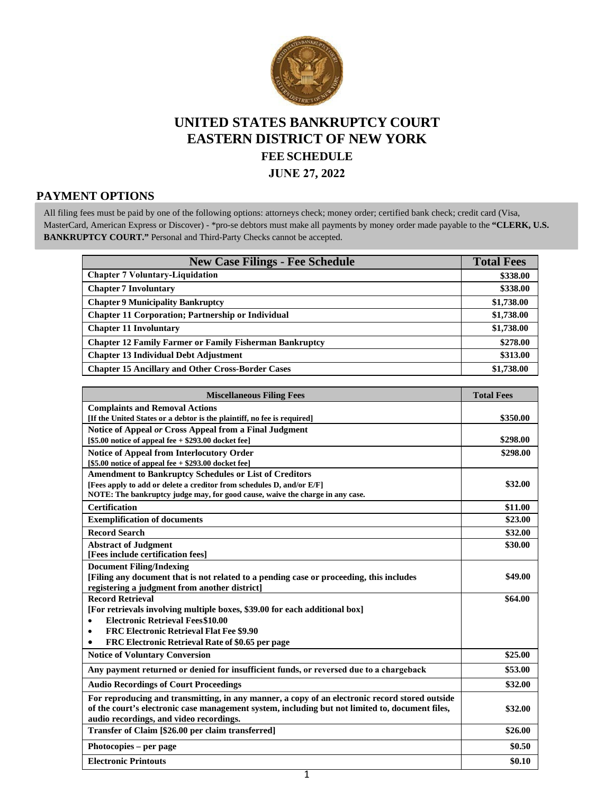

# **UNITED STATES BANKRUPTCY COURT EASTERN DISTRICT OF NEW YORK FEE SCHEDULE**

**JUNE 27, 2022**

# **PAYMENT OPTIONS**

All filing fees must be paid by one of the following options: attorneys check; money order; certified bank check; credit card (Visa, MasterCard, American Express or Discover) - \*pro-se debtors must make all payments by money order made payable to the **"CLERK, U.S. BANKRUPTCY COURT."** Personal and Third-Party Checks cannot be accepted.

| <b>New Case Filings - Fee Schedule</b>                         | <b>Total Fees</b> |
|----------------------------------------------------------------|-------------------|
| <b>Chapter 7 Voluntary-Liquidation</b>                         | \$338.00          |
| <b>Chapter 7 Involuntary</b>                                   | \$338.00          |
| <b>Chapter 9 Municipality Bankruptcy</b>                       | \$1,738.00        |
| <b>Chapter 11 Corporation; Partnership or Individual</b>       | \$1,738.00        |
| <b>Chapter 11 Involuntary</b>                                  | \$1,738.00        |
| <b>Chapter 12 Family Farmer or Family Fisherman Bankruptcy</b> | \$278.00          |
| <b>Chapter 13 Individual Debt Adjustment</b>                   | \$313.00          |
| <b>Chapter 15 Ancillary and Other Cross-Border Cases</b>       | \$1,738.00        |

| <b>Miscellaneous Filing Fees</b>                                                                | <b>Total Fees</b> |
|-------------------------------------------------------------------------------------------------|-------------------|
| <b>Complaints and Removal Actions</b>                                                           |                   |
| [If the United States or a debtor is the plaintiff, no fee is required]                         | \$350.00          |
| Notice of Appeal or Cross Appeal from a Final Judgment                                          |                   |
| $[$5.00$ notice of appeal fee + \$293.00 docket fee]                                            | \$298.00          |
| <b>Notice of Appeal from Interlocutory Order</b>                                                | \$298.00          |
| $[$5.00$ notice of appeal fee + \$293.00 docket fee]                                            |                   |
| <b>Amendment to Bankruptcy Schedules or List of Creditors</b>                                   |                   |
| [Fees apply to add or delete a creditor from schedules D, and/or E/F]                           | \$32.00           |
| NOTE: The bankruptcy judge may, for good cause, waive the charge in any case.                   |                   |
| <b>Certification</b>                                                                            | \$11.00           |
| <b>Exemplification of documents</b>                                                             | \$23.00           |
| <b>Record Search</b>                                                                            | \$32.00           |
| <b>Abstract of Judgment</b>                                                                     | \$30.00           |
| [Fees include certification fees]                                                               |                   |
| <b>Document Filing/Indexing</b>                                                                 |                   |
| [Filing any document that is not related to a pending case or proceeding, this includes         | \$49.00           |
| registering a judgment from another district]                                                   |                   |
| <b>Record Retrieval</b>                                                                         | \$64.00           |
| [For retrievals involving multiple boxes, \$39.00 for each additional box]                      |                   |
| <b>Electronic Retrieval Fees\$10.00</b><br>$\bullet$                                            |                   |
| <b>FRC Electronic Retrieval Flat Fee \$9.90</b><br>٠                                            |                   |
| FRC Electronic Retrieval Rate of \$0.65 per page                                                |                   |
| <b>Notice of Voluntary Conversion</b>                                                           | \$25.00           |
| Any payment returned or denied for insufficient funds, or reversed due to a chargeback          | \$53.00           |
| <b>Audio Recordings of Court Proceedings</b>                                                    | \$32.00           |
| For reproducing and transmitting, in any manner, a copy of an electronic record stored outside  |                   |
| of the court's electronic case management system, including but not limited to, document files, | \$32.00           |
| audio recordings, and video recordings.                                                         |                   |
| Transfer of Claim [\$26.00 per claim transferred]                                               | \$26.00           |
| Photocopies – per page                                                                          | \$0.50            |
| <b>Electronic Printouts</b>                                                                     | \$0.10            |

1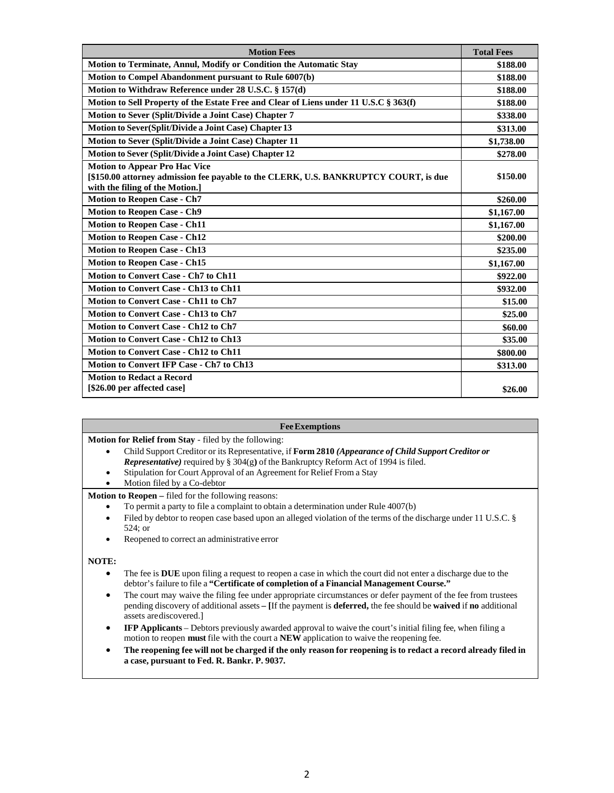| <b>Motion Fees</b>                                                                                                                                              | <b>Total Fees</b> |
|-----------------------------------------------------------------------------------------------------------------------------------------------------------------|-------------------|
| Motion to Terminate, Annul, Modify or Condition the Automatic Stay                                                                                              | \$188.00          |
| Motion to Compel Abandonment pursuant to Rule 6007(b)                                                                                                           | \$188.00          |
| Motion to Withdraw Reference under 28 U.S.C. § 157(d)                                                                                                           | \$188.00          |
| Motion to Sell Property of the Estate Free and Clear of Liens under 11 U.S.C § 363(f)                                                                           | \$188.00          |
| Motion to Sever (Split/Divide a Joint Case) Chapter 7                                                                                                           | \$338.00          |
| Motion to Sever(Split/Divide a Joint Case) Chapter 13                                                                                                           | \$313.00          |
| Motion to Sever (Split/Divide a Joint Case) Chapter 11                                                                                                          | \$1,738.00        |
| Motion to Sever (Split/Divide a Joint Case) Chapter 12                                                                                                          | \$278.00          |
| <b>Motion to Appear Pro Hac Vice</b><br>[\$150.00 attorney admission fee payable to the CLERK, U.S. BANKRUPTCY COURT, is due<br>with the filing of the Motion.] | \$150.00          |
| <b>Motion to Reopen Case - Ch7</b>                                                                                                                              | \$260.00          |
| <b>Motion to Reopen Case - Ch9</b>                                                                                                                              | \$1,167.00        |
| <b>Motion to Reopen Case - Ch11</b>                                                                                                                             | \$1,167.00        |
| <b>Motion to Reopen Case - Ch12</b>                                                                                                                             | \$200.00          |
| <b>Motion to Reopen Case - Ch13</b>                                                                                                                             | \$235.00          |
| <b>Motion to Reopen Case - Ch15</b>                                                                                                                             | \$1,167.00        |
| Motion to Convert Case - Ch7 to Ch11                                                                                                                            | \$922.00          |
| Motion to Convert Case - Ch13 to Ch11                                                                                                                           | \$932.00          |
| <b>Motion to Convert Case - Ch11 to Ch7</b>                                                                                                                     | \$15.00           |
| <b>Motion to Convert Case - Ch13 to Ch7</b>                                                                                                                     | \$25.00           |
| Motion to Convert Case - Ch12 to Ch7                                                                                                                            | \$60.00           |
| <b>Motion to Convert Case - Ch12 to Ch13</b>                                                                                                                    | \$35.00           |
| <b>Motion to Convert Case - Ch12 to Ch11</b>                                                                                                                    | \$800.00          |
| Motion to Convert IFP Case - Ch7 to Ch13                                                                                                                        | \$313.00          |
| <b>Motion to Redact a Record</b><br>[\$26.00 per affected case]                                                                                                 | \$26.00           |

#### **FeeExemptions**

**Motion for Relief from Stay** - filed by the following:

- Child Support Creditor or its Representative, if **Form 2810** *(Appearance of Child Support Creditor or Representative)* required by § 304(g**)** of the Bankruptcy Reform Act of 1994 is filed.
- Stipulation for Court Approval of an Agreement for Relief From a Stay
- Motion filed by a Co-debtor

**Motion to Reopen –** filed for the following reasons:

- To permit a party to file a complaint to obtain a determination under Rule 4007(b)
- Filed by debtor to reopen case based upon an alleged violation of the terms of the discharge under 11 U.S.C. § 524; or
- Reopened to correct an administrative error

#### **NOTE:**

- The fee is **DUE** upon filing a request to reopen a case in which the court did not enter a discharge due to the debtor's failure to file a **"Certificate of completion of a Financial Management Course."**
- The court may waive the filing fee under appropriate circumstances or defer payment of the fee from trustees pending discovery of additional assets **– [**If the payment is **deferred,** the fee should be **waived** if **no** additional assets arediscovered.]
- **IFP Applicants** Debtors previously awarded approval to waive the court's initial filing fee, when filing a motion to reopen **must** file with the court a **NEW** application to waive the reopening fee.
- **The reopening fee will not be charged if the only reason for reopening is to redact a record already filed in a case, pursuant to Fed. R. Bankr. P. 9037.**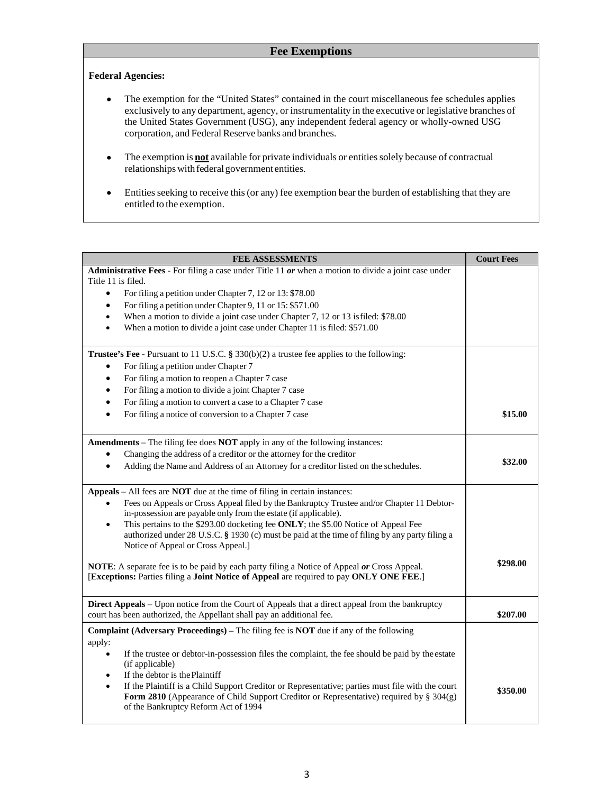## **Fee Exemptions**

### **Federal Agencies:**

- The exemption for the "United States" contained in the court miscellaneous fee schedules applies  $\bullet$ exclusively to any department, agency, or instrumentality in the executive or legislative branches of the United States Government (USG), any independent federal agency or wholly-owned USG corporation, and Federal Reserve banks and branches.
- The exemption is **not** available for private individuals or entities solely because of contractual  $\bullet$ relationships with federal government entities.
- Entities seeking to receive this (or any) fee exemption bear the burden of establishing that they are  $\bullet$ entitled to the exemption.

| FEE ASSESSMENTS                                                                                                                                                                        | <b>Court Fees</b> |
|----------------------------------------------------------------------------------------------------------------------------------------------------------------------------------------|-------------------|
| Administrative Fees - For filing a case under Title 11 or when a motion to divide a joint case under                                                                                   |                   |
| Title 11 is filed.                                                                                                                                                                     |                   |
| For filing a petition under Chapter 7, 12 or 13: \$78.00<br>$\bullet$                                                                                                                  |                   |
| For filing a petition under Chapter 9, 11 or 15: \$571.00<br>$\bullet$                                                                                                                 |                   |
| When a motion to divide a joint case under Chapter 7, 12 or 13 is filed: \$78.00<br>$\bullet$<br>When a motion to divide a joint case under Chapter 11 is filed: \$571.00<br>$\bullet$ |                   |
|                                                                                                                                                                                        |                   |
| Trustee's Fee - Pursuant to 11 U.S.C. § 330(b)(2) a trustee fee applies to the following:                                                                                              |                   |
| For filing a petition under Chapter 7<br>$\bullet$                                                                                                                                     |                   |
| For filing a motion to reopen a Chapter 7 case<br>$\bullet$                                                                                                                            |                   |
| For filing a motion to divide a joint Chapter 7 case<br>$\bullet$                                                                                                                      |                   |
| For filing a motion to convert a case to a Chapter 7 case<br>$\bullet$                                                                                                                 |                   |
| For filing a notice of conversion to a Chapter 7 case<br>$\bullet$                                                                                                                     | \$15.00           |
|                                                                                                                                                                                        |                   |
| <b>Amendments</b> – The filing fee does <b>NOT</b> apply in any of the following instances:                                                                                            |                   |
| Changing the address of a creditor or the attorney for the creditor<br>$\bullet$                                                                                                       | \$32.00           |
| Adding the Name and Address of an Attorney for a creditor listed on the schedules.<br>$\bullet$                                                                                        |                   |
| Appeals – All fees are NOT due at the time of filing in certain instances:                                                                                                             |                   |
| Fees on Appeals or Cross Appeal filed by the Bankruptcy Trustee and/or Chapter 11 Debtor-<br>$\bullet$                                                                                 |                   |
| in-possession are payable only from the estate (if applicable).                                                                                                                        |                   |
| This pertains to the \$293.00 docketing fee ONLY; the \$5.00 Notice of Appeal Fee<br>$\bullet$                                                                                         |                   |
| authorized under 28 U.S.C. § 1930 (c) must be paid at the time of filing by any party filing a<br>Notice of Appeal or Cross Appeal.]                                                   |                   |
|                                                                                                                                                                                        |                   |
| <b>NOTE:</b> A separate fee is to be paid by each party filing a Notice of Appeal or Cross Appeal.                                                                                     | \$298.00          |
| [Exceptions: Parties filing a Joint Notice of Appeal are required to pay ONLY ONE FEE.]                                                                                                |                   |
| <b>Direct Appeals</b> – Upon notice from the Court of Appeals that a direct appeal from the bankruptcy                                                                                 |                   |
| court has been authorized, the Appellant shall pay an additional fee.                                                                                                                  | \$207.00          |
| <b>Complaint (Adversary Proceedings)</b> – The filing fee is <b>NOT</b> due if any of the following                                                                                    |                   |
| apply:                                                                                                                                                                                 |                   |
| If the trustee or debtor-in-possession files the complaint, the fee should be paid by the estate<br>$\bullet$                                                                          |                   |
| (if applicable)                                                                                                                                                                        |                   |
| If the debtor is the Plaintiff<br>$\bullet$<br>$\bullet$<br>If the Plaintiff is a Child Support Creditor or Representative; parties must file with the court                           |                   |
| Form 2810 (Appearance of Child Support Creditor or Representative) required by § 304(g)                                                                                                | \$350.00          |
| of the Bankruptcy Reform Act of 1994                                                                                                                                                   |                   |
|                                                                                                                                                                                        |                   |